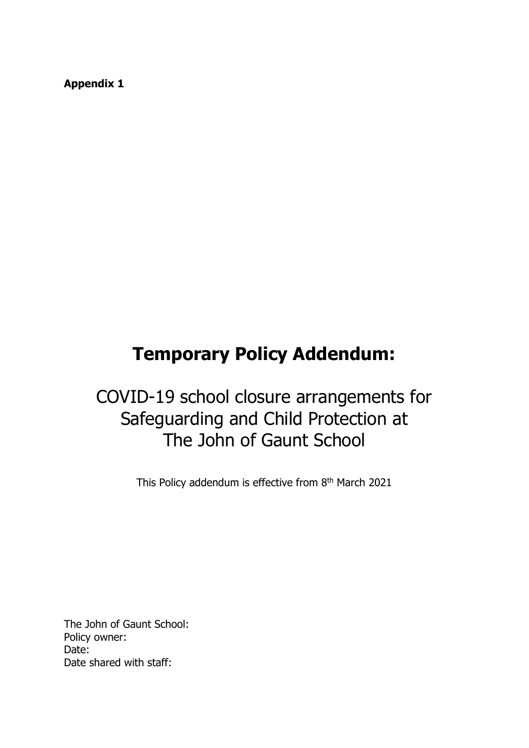**Appendix 1**

# **Temporary Policy Addendum:**

# COVID-19 school closure arrangements for Safeguarding and Child Protection at The John of Gaunt School

This Policy addendum is effective from 8<sup>th</sup> March 2021

The John of Gaunt School: Policy owner: Date: Date shared with staff: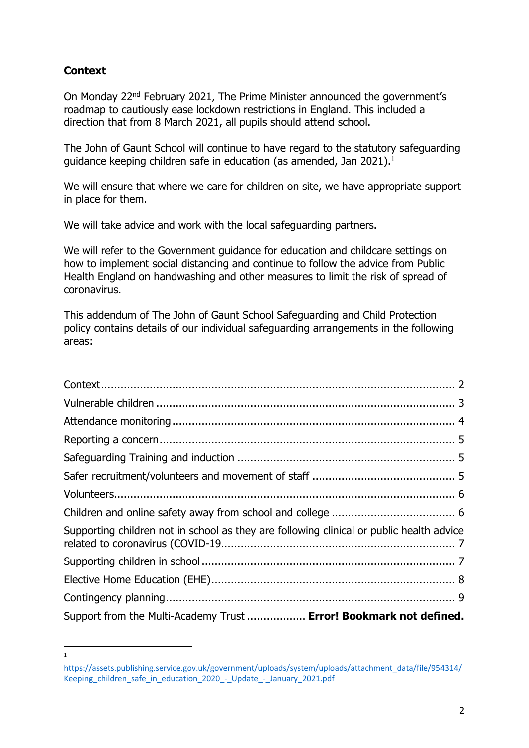## <span id="page-1-0"></span>**Context**

**.** 1

On Monday 22nd February 2021, The Prime Minister announced the government's roadmap to cautiously ease lockdown restrictions in England. This included a direction that from 8 March 2021, all pupils should attend school.

The John of Gaunt School will continue to have regard to the statutory safeguarding guidance keeping children safe in education (as amended, Jan 2021).<sup>1</sup>

We will ensure that where we care for children on site, we have appropriate support in place for them.

We will take advice and work with the local safeguarding partners.

We will refer to the Government guidance for education and childcare settings on how to implement social distancing and continue to follow the advice from Public Health England on handwashing and other measures to limit the risk of spread of coronavirus.

This addendum of The John of Gaunt School Safeguarding and Child Protection policy contains details of our individual safeguarding arrangements in the following areas:

| Supporting children not in school as they are following clinical or public health advice |
|------------------------------------------------------------------------------------------|
|                                                                                          |
|                                                                                          |
|                                                                                          |
| Support from the Multi-Academy Trust  Error! Bookmark not defined.                       |

[https://assets.publishing.service.gov.uk/government/uploads/system/uploads/attachment\\_data/file/954314/](https://assets.publishing.service.gov.uk/government/uploads/system/uploads/attachment_data/file/954314/Keeping_children_safe_in_education_2020_-_Update_-_January_2021.pdf) Keeping children safe in education 2020 - Update - January 2021.pdf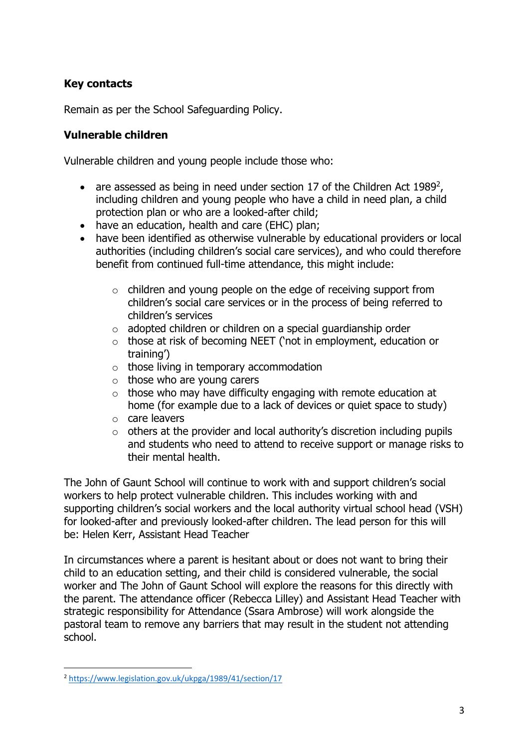## **Key contacts**

Remain as per the School Safeguarding Policy.

## <span id="page-2-0"></span>**Vulnerable children**

Vulnerable children and young people include those who:

- are assessed as being in need under section 17 of the Children Act 1989<sup>2</sup>, including children and young people who have a child in need plan, a child protection plan or who are a looked-after child;
- have an education, health and care (EHC) plan;
- have been identified as otherwise vulnerable by educational providers or local authorities (including children's social care services), and who could therefore benefit from continued full-time attendance, this might include:
	- o children and young people on the edge of receiving support from children's social care services or in the process of being referred to children's services
	- $\circ$  adopted children or children on a special quardianship order
	- o those at risk of becoming NEET ('not in employment, education or training')
	- $\circ$  those living in temporary accommodation
	- $\circ$  those who are young carers
	- $\circ$  those who may have difficulty engaging with remote education at home (for example due to a lack of devices or quiet space to study)
	- o care leavers
	- $\circ$  others at the provider and local authority's discretion including pupils and students who need to attend to receive support or manage risks to their mental health.

The John of Gaunt School will continue to work with and support children's social workers to help protect vulnerable children. This includes working with and supporting children's social workers and the local authority virtual school head (VSH) for looked-after and previously looked-after children. The lead person for this will be: Helen Kerr, Assistant Head Teacher

In circumstances where a parent is hesitant about or does not want to bring their child to an education setting, and their child is considered vulnerable, the social worker and The John of Gaunt School will explore the reasons for this directly with the parent. The attendance officer (Rebecca Lilley) and Assistant Head Teacher with strategic responsibility for Attendance (Ssara Ambrose) will work alongside the pastoral team to remove any barriers that may result in the student not attending school.

**.** 

<sup>2</sup> <https://www.legislation.gov.uk/ukpga/1989/41/section/17>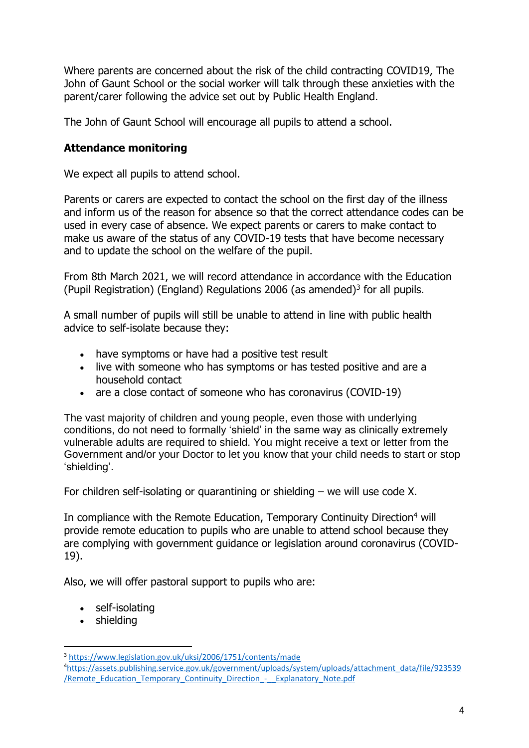Where parents are concerned about the risk of the child contracting COVID19, The John of Gaunt School or the social worker will talk through these anxieties with the parent/carer following the advice set out by Public Health England.

The John of Gaunt School will encourage all pupils to attend a school.

## <span id="page-3-0"></span>**Attendance monitoring**

We expect all pupils to attend school.

Parents or carers are expected to contact the school on the first day of the illness and inform us of the reason for absence so that the correct attendance codes can be used in every case of absence. We expect parents or carers to make contact to make us aware of the status of any COVID-19 tests that have become necessary and to update the school on the welfare of the pupil.

From 8th March 2021, we will record attendance in accordance with the Education (Pupil Registration) (England) Regulations 2006 (as amended)<sup>3</sup> for all pupils.

A small number of pupils will still be unable to attend in line with public health advice to self-isolate because they:

- have symptoms or have had a positive test result
- live with someone who has symptoms or has tested positive and are a household contact
- are a close contact of someone who has coronavirus (COVID-19)

The vast majority of children and young people, even those with underlying conditions, do not need to formally 'shield' in the same way as clinically extremely vulnerable adults are required to shield. You might receive a text or letter from the Government and/or your Doctor to let you know that your child needs to start or stop 'shielding'.

For children self-isolating or quarantining or shielding – we will use code X.

In compliance with the Remote Education, Temporary Continuity Direction<sup>4</sup> will provide remote education to pupils who are unable to attend school because they are complying with government guidance or legislation around coronavirus (COVID-19).

Also, we will offer pastoral support to pupils who are:

- self-isolating
- shielding

**.** 

<sup>3</sup> <https://www.legislation.gov.uk/uksi/2006/1751/contents/made>

<sup>4</sup>[https://assets.publishing.service.gov.uk/government/uploads/system/uploads/attachment\\_data/file/923539](https://assets.publishing.service.gov.uk/government/uploads/system/uploads/attachment_data/file/923539/Remote_Education_Temporary_Continuity_Direction_-__Explanatory_Note.pdf) /Remote Education Temporary Continuity Direction - Explanatory Note.pdf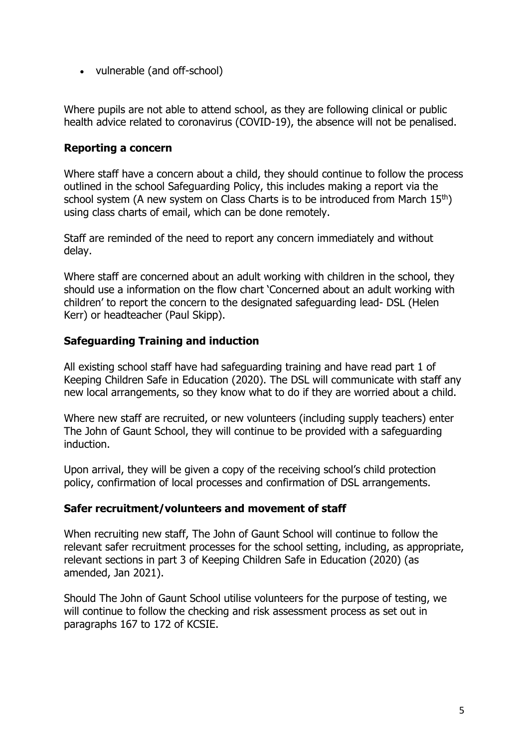• vulnerable (and off-school)

Where pupils are not able to attend school, as they are following clinical or public health advice related to coronavirus (COVID-19), the absence will not be penalised.

#### <span id="page-4-0"></span>**Reporting a concern**

Where staff have a concern about a child, they should continue to follow the process outlined in the school Safeguarding Policy, this includes making a report via the school system (A new system on Class Charts is to be introduced from March 15<sup>th</sup>) using class charts of email, which can be done remotely.

Staff are reminded of the need to report any concern immediately and without delay.

Where staff are concerned about an adult working with children in the school, they should use a information on the flow chart 'Concerned about an adult working with children' to report the concern to the designated safeguarding lead- DSL (Helen Kerr) or headteacher (Paul Skipp).

### <span id="page-4-1"></span>**Safeguarding Training and induction**

All existing school staff have had safeguarding training and have read part 1 of Keeping Children Safe in Education (2020). The DSL will communicate with staff any new local arrangements, so they know what to do if they are worried about a child.

Where new staff are recruited, or new volunteers (including supply teachers) enter The John of Gaunt School, they will continue to be provided with a safeguarding induction.

Upon arrival, they will be given a copy of the receiving school's child protection policy, confirmation of local processes and confirmation of DSL arrangements.

#### <span id="page-4-2"></span>**Safer recruitment/volunteers and movement of staff**

When recruiting new staff, The John of Gaunt School will continue to follow the relevant safer recruitment processes for the school setting, including, as appropriate, relevant sections in part 3 of Keeping Children Safe in Education (2020) (as amended, Jan 2021).

Should The John of Gaunt School utilise volunteers for the purpose of testing, we will continue to follow the checking and risk assessment process as set out in paragraphs 167 to 172 of KCSIE.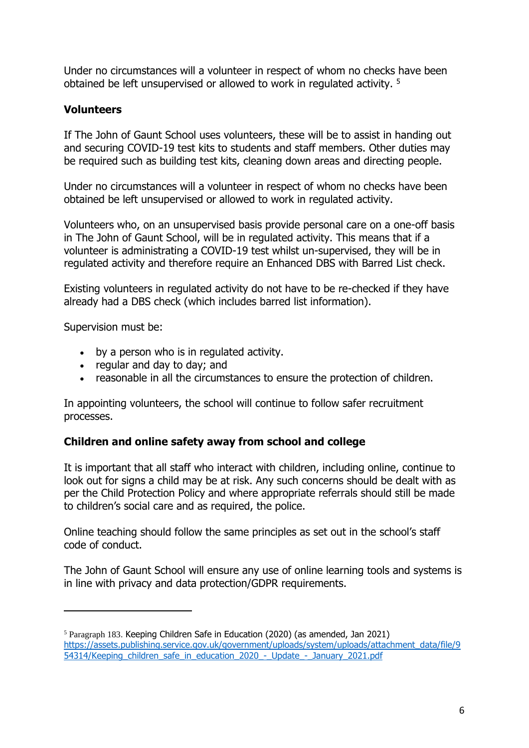Under no circumstances will a volunteer in respect of whom no checks have been obtained be left unsupervised or allowed to work in regulated activity. <sup>5</sup>

## <span id="page-5-0"></span>**Volunteers**

If The John of Gaunt School uses volunteers, these will be to assist in handing out and securing COVID-19 test kits to students and staff members. Other duties may be required such as building test kits, cleaning down areas and directing people.

Under no circumstances will a volunteer in respect of whom no checks have been obtained be left unsupervised or allowed to work in regulated activity.

Volunteers who, on an unsupervised basis provide personal care on a one-off basis in The John of Gaunt School, will be in regulated activity. This means that if a volunteer is administrating a COVID-19 test whilst un-supervised, they will be in regulated activity and therefore require an Enhanced DBS with Barred List check.

Existing volunteers in regulated activity do not have to be re-checked if they have already had a DBS check (which includes barred list information).

Supervision must be:

**.** 

- by a person who is in regulated activity.
- regular and day to day; and
- reasonable in all the circumstances to ensure the protection of children.

In appointing volunteers, the school will continue to follow safer recruitment processes.

#### <span id="page-5-1"></span>**Children and online safety away from school and college**

It is important that all staff who interact with children, including online, continue to look out for signs a child may be at risk. Any such concerns should be dealt with as per the Child Protection Policy and where appropriate referrals should still be made to children's social care and as required, the police.

Online teaching should follow the same principles as set out in the school's staff code of conduct.

The John of Gaunt School will ensure any use of online learning tools and systems is in line with privacy and data protection/GDPR requirements.

<sup>5</sup> Paragraph 183. Keeping Children Safe in Education (2020) (as amended, Jan 2021) [https://assets.publishing.service.gov.uk/government/uploads/system/uploads/attachment\\_data/file/9](https://assets.publishing.service.gov.uk/government/uploads/system/uploads/attachment_data/file/954314/Keeping_children_safe_in_education_2020_-_Update_-_January_2021.pdf) [54314/Keeping\\_children\\_safe\\_in\\_education\\_2020\\_-\\_Update\\_-\\_January\\_2021.pdf](https://assets.publishing.service.gov.uk/government/uploads/system/uploads/attachment_data/file/954314/Keeping_children_safe_in_education_2020_-_Update_-_January_2021.pdf)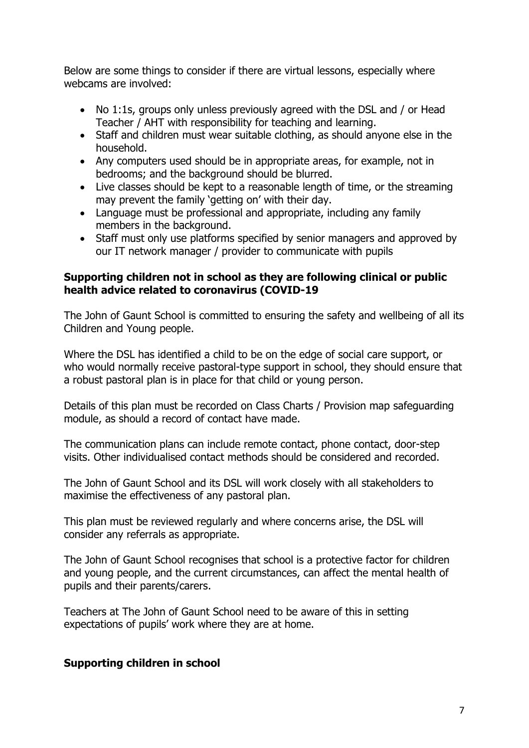Below are some things to consider if there are virtual lessons, especially where webcams are involved:

- No 1:1s, groups only unless previously agreed with the DSL and / or Head Teacher / AHT with responsibility for teaching and learning.
- Staff and children must wear suitable clothing, as should anyone else in the household.
- Any computers used should be in appropriate areas, for example, not in bedrooms; and the background should be blurred.
- Live classes should be kept to a reasonable length of time, or the streaming may prevent the family 'getting on' with their day.
- Language must be professional and appropriate, including any family members in the background.
- Staff must only use platforms specified by senior managers and approved by our IT network manager / provider to communicate with pupils

#### <span id="page-6-0"></span>**Supporting children not in school as they are following clinical or public health advice related to coronavirus (COVID-19**

The John of Gaunt School is committed to ensuring the safety and wellbeing of all its Children and Young people.

Where the DSL has identified a child to be on the edge of social care support, or who would normally receive pastoral-type support in school, they should ensure that a robust pastoral plan is in place for that child or young person.

Details of this plan must be recorded on Class Charts / Provision map safeguarding module, as should a record of contact have made.

The communication plans can include remote contact, phone contact, door-step visits. Other individualised contact methods should be considered and recorded.

The John of Gaunt School and its DSL will work closely with all stakeholders to maximise the effectiveness of any pastoral plan.

This plan must be reviewed regularly and where concerns arise, the DSL will consider any referrals as appropriate.

The John of Gaunt School recognises that school is a protective factor for children and young people, and the current circumstances, can affect the mental health of pupils and their parents/carers.

Teachers at The John of Gaunt School need to be aware of this in setting expectations of pupils' work where they are at home.

#### <span id="page-6-1"></span>**Supporting children in school**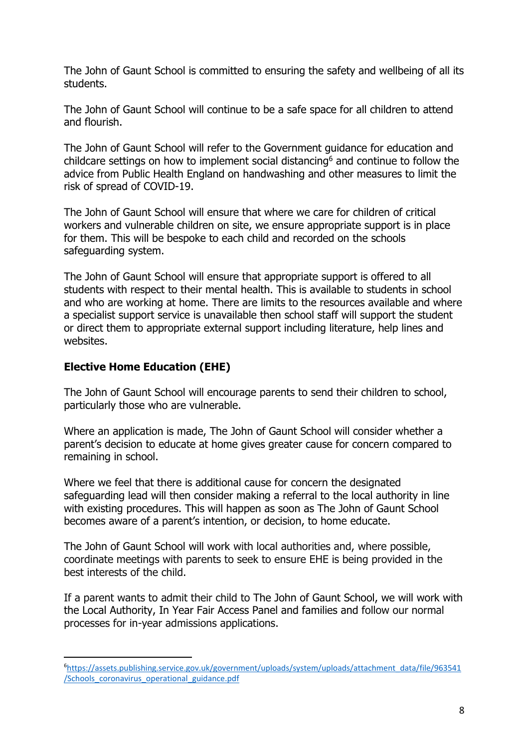The John of Gaunt School is committed to ensuring the safety and wellbeing of all its students.

The John of Gaunt School will continue to be a safe space for all children to attend and flourish.

The John of Gaunt School will refer to the Government guidance for education and childcare settings on how to implement social distancing<sup>6</sup> and continue to follow the advice from Public Health England on handwashing and other measures to limit the risk of spread of COVID-19.

The John of Gaunt School will ensure that where we care for children of critical workers and vulnerable children on site, we ensure appropriate support is in place for them. This will be bespoke to each child and recorded on the schools safeguarding system.

The John of Gaunt School will ensure that appropriate support is offered to all students with respect to their mental health. This is available to students in school and who are working at home. There are limits to the resources available and where a specialist support service is unavailable then school staff will support the student or direct them to appropriate external support including literature, help lines and websites.

### <span id="page-7-0"></span>**Elective Home Education (EHE)**

**.** 

The John of Gaunt School will encourage parents to send their children to school, particularly those who are vulnerable.

Where an application is made, The John of Gaunt School will consider whether a parent's decision to educate at home gives greater cause for concern compared to remaining in school.

Where we feel that there is additional cause for concern the designated safeguarding lead will then consider making a referral to the local authority in line with existing procedures. This will happen as soon as The John of Gaunt School becomes aware of a parent's intention, or decision, to home educate.

The John of Gaunt School will work with local authorities and, where possible, coordinate meetings with parents to seek to ensure EHE is being provided in the best interests of the child.

If a parent wants to admit their child to The John of Gaunt School, we will work with the Local Authority, In Year Fair Access Panel and families and follow our normal processes for in-year admissions applications.

<sup>6</sup>[https://assets.publishing.service.gov.uk/government/uploads/system/uploads/attachment\\_data/file/963541](https://assets.publishing.service.gov.uk/government/uploads/system/uploads/attachment_data/file/963541/Schools_coronavirus_operational_guidance.pdf) [/Schools\\_coronavirus\\_operational\\_guidance.pdf](https://assets.publishing.service.gov.uk/government/uploads/system/uploads/attachment_data/file/963541/Schools_coronavirus_operational_guidance.pdf)